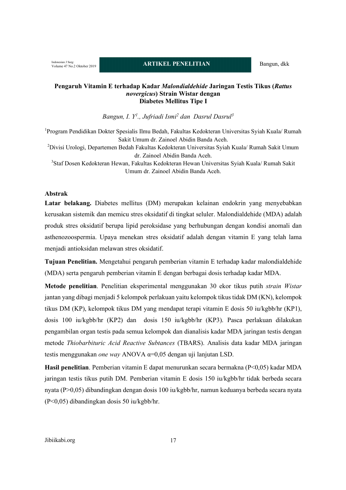### **Pengaruh Vitamin E terhadap Kadar** *Malondialdehide* **Jaringan Testis Tikus (***Rattus novergicus***) Strain Wistar dengan Diabetes Mellitus Tipe I**

*Bangun, I. Y1 ., Jufriadi Ismi2 dan Dasrul Dasrul 3*

1 Program Pendidikan Dokter Spesialis Ilmu Bedah, Fakultas Kedokteran Universitas Syiah Kuala/ Rumah Sakit Umum dr. Zainoel Abidin Banda Aceh.

<sup>2</sup>Divisi Urologi, Departemen Bedah Fakultas Kedokteran Universitas Syiah Kuala/ Rumah Sakit Umum dr. Zainoel Abidin Banda Aceh.

3 Staf Dosen Kedokteran Hewan, Fakultas Kedokteran Hewan Universitas Syiah Kuala/ Rumah Sakit Umum dr. Zainoel Abidin Banda Aceh.

#### **Abstrak**

**Latar belakang.** Diabetes mellitus (DM) merupakan kelainan endokrin yang menyebabkan kerusakan sistemik dan memicu stres oksidatif di tingkat seluler. Malondialdehide (MDA) adalah produk stres oksidatif berupa lipid peroksidase yang berhubungan dengan kondisi anomali dan asthenozoospermia. Upaya menekan stres oksidatif adalah dengan vitamin E yang telah lama menjadi antioksidan melawan stres oksidatif.

**Tujuan Penelitian.** Mengetahui pengaruh pemberian vitamin E terhadap kadar malondialdehide (MDA) serta pengaruh pemberian vitamin E dengan berbagai dosis terhadap kadar MDA.

**Metode penelitian**. Penelitian eksperimental menggunakan 30 ekor tikus putih *strain Wistar* jantan yang dibagi menjadi 5 kelompok perlakuan yaitu kelompok tikus tidak DM (KN), kelompok tikus DM (KP), kelompok tikus DM yang mendapat terapi vitamin E dosis 50 iu/kgbb/hr (KP1), dosis 100 iu/kgbb/hr (KP2) dan dosis 150 iu/kgbb/hr (KP3). Pasca perlakuan dilakukan pengambilan organ testis pada semua kelompok dan dianalisis kadar MDA jaringan testis dengan metode *Thiobarbituric Acid Reactive Subtances* (TBARS). Analisis data kadar MDA jaringan testis menggunakan *one way* ANOVA α=0,05 dengan uji lanjutan LSD.

**Hasil penelitian**. Pemberian vitamin E dapat menurunkan secara bermakna (P<0,05) kadar MDA jaringan testis tikus putih DM. Pemberian vitamin E dosis 150 iu/kgbb/hr tidak berbeda secara nyata (P>0,05) dibandingkan dengan dosis 100 iu/kgbb/hr, namun keduanya berbeda secara nyata (P<0,05) dibandingkan dosis 50 iu/kgbb/hr.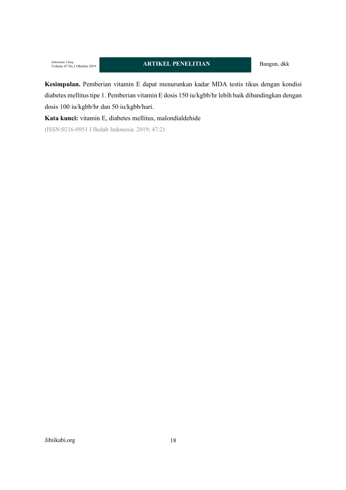**Kesimpulan.** Pemberian vitamin E dapat menurunkan kadar MDA testis tikus dengan kondisi diabetes mellitus tipe 1. Pemberian vitamin E dosis 150 iu/kgbb/hr lebih baik dibandingkan dengan dosis 100 iu/kgbb/hr dan 50 iu/kgbb/hari.

**Kata kunci:** vitamin E, diabetes mellitus, malondialdehide

(ISSN:0216-0951 J Bedah Indonesia. 2019; 47:2)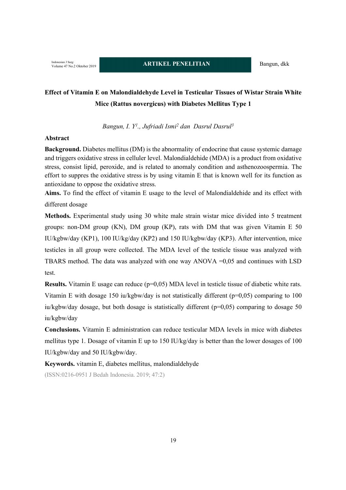# **Effect of Vitamin E on Malondialdehyde Level in Testicular Tissues of Wistar Strain White Mice (Rattus novergicus) with Diabetes Mellitus Type 1**

*Bangun, I. Y1 ., Jufriadi Ismi2 dan Dasrul Dasrul3*

### **Abstract**

**Background.** Diabetes mellitus (DM) is the abnormality of endocrine that cause systemic damage and triggers oxidative stress in celluler level. Malondialdehide (MDA) is a product from oxidative stress, consist lipid, peroxide, and is related to anomaly condition and asthenozoospermia. The effort to suppres the oxidative stress is by using vitamin E that is known well for its function as antioxidane to oppose the oxidative stress.

**Aims.** To find the effect of vitamin E usage to the level of Malondialdehide and its effect with different dosage

**Methods.** Experimental study using 30 white male strain wistar mice divided into 5 treatment groups: non-DM group (KN), DM group (KP), rats with DM that was given Vitamin E 50 IU/kgbw/day (KP1), 100 IU/kg/day (KP2) and 150 IU/kgbw/day (KP3). After intervention, mice testicles in all group were collected. The MDA level of the testicle tissue was analyzed with TBARS method. The data was analyzed with one way ANOVA =0,05 and continues with LSD test.

**Results.** Vitamin E usage can reduce  $(p=0.05)$  MDA level in testicle tissue of diabetic white rats. Vitamin E with dosage 150 iu/kgbw/day is not statistically different (p=0,05) comparing to 100 iu/kgbw/day dosage, but both dosage is statistically different  $(p=0.05)$  comparing to dosage 50 iu/kgbw/day

**Conclusions.** Vitamin E administration can reduce testicular MDA levels in mice with diabetes mellitus type 1. Dosage of vitamin E up to 150 IU/kg/day is better than the lower dosages of 100 IU/kgbw/day and 50 IU/kgbw/day.

**Keywords.** vitamin E, diabetes mellitus, malondialdehyde (ISSN:0216-0951 J Bedah Indonesia. 2019; 47:2)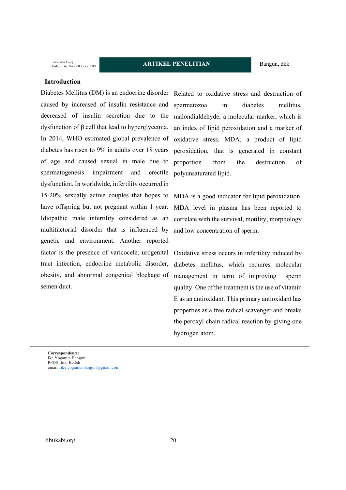Indonesian J Surg:<br>Volume 47 No.2 Oktober 2019

#### **Introduction**

Diabetes Mellitus (DM) is an endocrine disorder caused by increased of insulin resistance and decreased of insulin secretion due to the dysfunction of β cell that lead to hyperglycemia. In 2014, WHO estimated global prevalence of diabetes has risen to 9% in adults over 18 years of age and caused sexual in male due to spermatogenesis impairment and erectile dysfunction. In worldwide, infertility occurred in 15-20% sexually active couples that hopes to have offspring but not pregnant within 1 year. Idiopathic male infertility considered as an multifactorial disorder that is influenced by genetic and environment. Another reported factor is the presence of varicocele, urogenital tract infection, endocrine metabolic disorder, obesity, and abnormal congenital blockage of semen duct.

Related to oxidative stress and destruction of spermatozoa in diabetes mellitus, malondialdehyde, a molecular marker, which is an index of lipid peroxidation and a marker of oxidative stress. MDA, a product of lipid peroxidation, that is generated in constant proportion from the destruction of polyunsaturated lipid.

MDA is a good indicator for lipid peroxidation. MDA level in plasma has been reported to correlate with the survival, motility, morphology and low concentration of sperm.

Oxidative stress occurs in infertility induced by diabetes mellitus, which requires molecular management in term of improving sperm quality. One of the treatment is the use of vitamin E as an antioxidant. This primary antioxidant has properties as a free radical scavenger and breaks the peroxyl chain radical reaction by giving one hydrogen atom.

**Correspondents:** Ike Yoganita Bangun PPDS Ilmu Bedah email : ike.yoganita.bangun@gmail.com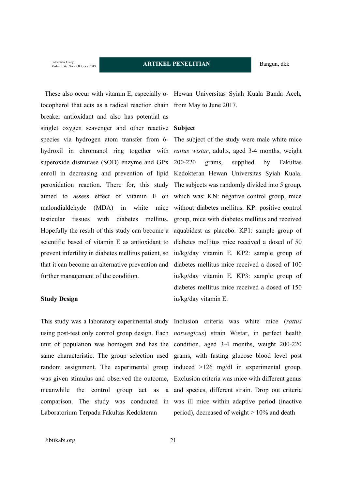Indonesian J Surg:<br>Volume 47 No.2 Oktober 2019

tocopherol that acts as a radical reaction chain from May to June 2017. breaker antioxidant and also has potential as singlet oxygen scavenger and other reactive **Subject** testicular tissues with diabetes mellitus. further management of the condition.

#### **Study Design**

meanwhile the control group act as Laboratorium Terpadu Fakultas Kedokteran

These also occur with vitamin E, especially α-Hewan Universitas Syiah Kuala Banda Aceh,

species via hydrogen atom transfer from 6- The subject of the study were male white mice hydroxil in chromanol ring together with *rattus wistar*, adults, aged 3-4 months, weight superoxide dismutase (SOD) enzyme and GPx 200-220 grams, supplied by Fakultas enroll in decreasing and prevention of lipid Kedokteran Hewan Universitas Syiah Kuala. peroxidation reaction. There for, this study The subjects was randomly divided into 5 group, aimed to assess effect of vitamin E on which was: KN: negative control group, mice malondialdehyde (MDA) in white mice without diabetes mellitus. KP: positive control Hopefully the result of this study can become a aquabidest as placebo. KP1: sample group of scientific based of vitamin E as antioxidant to diabetes mellitus mice received a dosed of 50 prevent infertility in diabetes mellitus patient, so iu/kg/day vitamin E. KP2: sample group of that it can become an alternative prevention and diabetes mellitus mice received a dosed of 100 group, mice with diabetes mellitus and received iu/kg/day vitamin E. KP3: sample group of diabetes mellitus mice received a dosed of 150 iu/kg/day vitamin E.

This study was a laboratory experimental study Inclusion criteria was white mice (*rattus*  using post-test only control group design. Each *norwegicus*) strain Wistar, in perfect health unit of population was homogen and has the condition, aged 3-4 months, weight 200-220 same characteristic. The group selection used grams, with fasting glucose blood level post random assignment. The experimental group induced >126 mg/dl in experimental group. was given stimulus and observed the outcome, Exclusion criteria was mice with different genus comparison. The study was conducted in was ill mice within adaptive period (inactive and species, different strain. Drop out criteria period), decreased of weight > 10% and death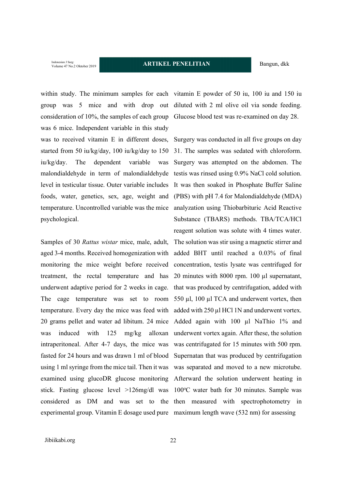Indonesian J Surg:<br>Volume 47 No.2 Oktober 2019

consideration of 10%, the samples of each group Glucose blood test was re-examined on day 28. was 6 mice. Independent variable in this study iu/kg/day. The dependent variable was psychological.

aged 3-4 months. Received homogenization with monitoring the mice weight before received treatment, the rectal temperature and has underwent adaptive period for 2 weeks in cage. The cage temperature was set to room temperature. Every day the mice was feed with 20 grams pellet and water ad libitum. 24 mice was induced with 125 mg/kg alloxan intraperitoneal. After 4-7 days, the mice was fasted for 24 hours and was drawn 1 ml of blood using 1 ml syringe from the mice tail. Then it was experimental group. Vitamin E dosage used pure maximum length wave (532 nm) for assessing

within study. The minimum samples for each vitamin E powder of 50 iu, 100 iu and 150 iu group was 5 mice and with drop out diluted with 2 ml olive oil via sonde feeding.

was to received vitamin E in different doses, Surgery was conducted in all five groups on day started from 50 iu/kg/day, 100 iu/kg/day to 150 31. The samples was sedated with chloroform. malondialdehyde in term of malondialdehyde testis was rinsed using 0.9% NaCl cold solution. level in testicular tissue. Outer variable includes It was then soaked in Phosphate Buffer Saline foods, water, genetics, sex, age, weight and (PBS) with pH 7.4 for Malondialdehyde (MDA) temperature. Uncontrolled variable was the mice analyzation using Thiobarbituric Acid Reactive Samples of 30 *Rattus wistar* mice, male, adult, The solution was stir using a magnetic stirrer and examined using glucoDR glucose monitoring Afterward the solution underwent heating in stick. Fasting glucose level >126mg/dl was 100°C water bath for 30 minutes. Sample was considered as DM and was set to the then measured with spectrophotometry in Surgery was attempted on the abdomen. The Substance (TBARS) methods. TBA/TCA/HCl reagent solution was solute with 4 times water. added BHT until reached a 0.03% of final concentration, testis lysate was centrifuged for 20 minutes with 8000 rpm. 100 µl supernatant, that was produced by centrifugation, added with 550 µl, 100 µl TCA and underwent vortex, then added with 250 µl HCl 1N and underwent vortex. Added again with 100 µl NaThio 1% and underwent vortex again. After these, the solution was centrifugated for 15 minutes with 500 rpm. Supernatan that was produced by centrifugation was separated and moved to a new microtube.

Jibiikabi.org 22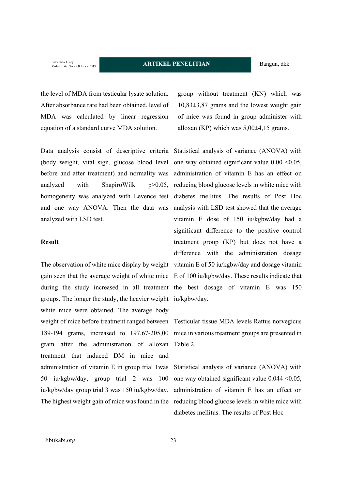Indonesian J Surg:<br>Volume 47 No.2 Oktober 2019

the level of MDA from testicular lysate solution. After absorbance rate had been obtained, level of MDA was calculated by linear regression equation of a standard curve MDA solution.

Data analysis consist of descriptive criteria Statistical analysis of variance (ANOVA) with before and after treatment) and normality was analyzed with ShapiroWilk p>0.05, and one way ANOVA. Then the data was analyzed with LSD test.

#### **Result**

groups. The longer the study, the heavier weight iu/kgbw/day. white mice were obtained. The average body weight of mice before treatment ranged between Testicular tissue MDA levels Rattus norvegicus 189-194 grams, increased to 197,67-205,00 mice in various treatment groups are presented in gram after the administration of alloxan Table 2. treatment that induced DM in mice and administration of vitamin E in group trial 1was 50 iu/kgbw/day, group trial 2 was 100 iu/kgbw/day group trial 3 was 150 iu/kgbw/day. The highest weight gain of mice was found in the reducing blood glucose levels in white mice with

group without treatment (KN) which was 10,83±3,87 grams and the lowest weight gain of mice was found in group administer with alloxan (KP) which was  $5,00\pm4,15$  grams.

(body weight, vital sign, glucose blood level one way obtained significant value 0.00 <0.05, homogeneity was analyzed with Levence test diabetes mellitus. The results of Post Hoc The observation of white mice display by weight vitamin E of 50 iu/kgbw/day and dosage vitamin gain seen that the average weight of white mice E of 100 iu/kgbw/day. These results indicate that during the study increased in all treatment the best dosage of vitamin E was 150 administration of vitamin E has an effect on reducing blood glucose levels in white mice with analysis with LSD test showed that the average vitamin E dose of 150 iu/kgbw/day had a significant difference to the positive control treatment group (KP) but does not have a difference with the administration dosage

Statistical analysis of variance (ANOVA) with one way obtained significant value 0.044 <0.05, administration of vitamin E has an effect on diabetes mellitus. The results of Post Hoc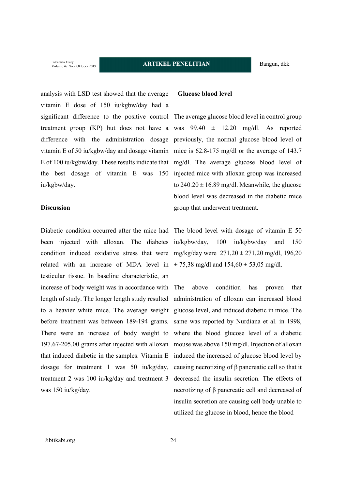Indonesian J Surg:<br>Volume 47 No.2 Oktober 2019

analysis with LSD test showed that the average vitamin E dose of 150 iu/kgbw/day had a treatment group (KP) but does not have a the best dosage of vitamin E was 150 iu/kgbw/day.

### **Discussion**

Diabetic condition occurred after the mice had The blood level with dosage of vitamin E 50 been injected with alloxan. The diabetes iu/kgbw/day, related with an increase of MDA level in  $\pm 75,38$  mg/dl and  $154,60 \pm 53,05$  mg/dl. testicular tissue. In baseline characteristic, an increase of body weight was in accordance with The length of study. The longer length study resulted to a heavier white mice. The average weight glucose level, and induced diabetic in mice. The before treatment was between 189-194 grams. There were an increase of body weight to 197.67-205.00 grams after injected with alloxan that induced diabetic in the samples. Vitamin E dosage for treatment 1 was 50 iu/kg/day, treatment 2 was 100 iu/kg/day and treatment 3 was 150 iu/kg/day.

#### **Glucose blood level**

significant difference to the positive control The average glucose blood level in control group difference with the administration dosage previously, the normal glucose blood level of vitamin E of 50 iu/kgbw/day and dosage vitamin mice is 62.8-175 mg/dl or the average of 143.7 E of 100 iu/kgbw/day. These results indicate that mg/dl. The average glucose blood level of was  $99.40 \pm 12.20$  mg/dl. As reported injected mice with alloxan group was increased to  $240.20 \pm 16.89$  mg/dl. Meanwhile, the glucose blood level was decreased in the diabetic mice group that underwent treatment.

condition induced oxidative stress that were mg/kg/day were  $271,20 \pm 271,20$  mg/dl, 196,20  $100$  iu/kgbw/day and  $150$ 

> above condition has proven that administration of alloxan can increased blood same was reported by Nurdiana et al. in 1998, where the blood glucose level of a diabetic mouse was above 150 mg/dl. Injection of alloxan induced the increased of glucose blood level by causing necrotizing of β pancreatic cell so that it decreased the insulin secretion. The effects of necrotizing of β pancreatic cell and decreased of insulin secretion are causing cell body unable to utilized the glucose in blood, hence the blood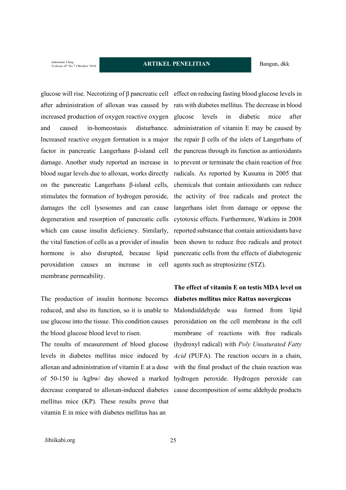Indonesian J Surg:<br>Volume 47 No.2 Oktober 2019

glucose will rise. Necrotizing of β pancreatic cell effect on reducing fasting blood glucose levels in after administration of alloxan was caused by rats with diabetes mellitus. The decrease in blood increased production of oxygen reactive oxygen glucose levels in diabetic mice after and caused in-homeostasis Increased reactive oxygen formation is a major the repair β cells of the islets of Langerhans of factor in pancreatic Langerhans β-island cell the pancreas through its function as antioxidants damage. Another study reported an increase in to prevent or terminate the chain reaction of free blood sugar levels due to alloxan, works directly radicals. As reported by Kusuma in 2005 that on the pancreatic Langerhans β-island cells, chemicals that contain antioxidants can reduce stimulates the formation of hydrogen peroxide, the activity of free radicals and protect the damages the cell lysosomes and can cause langerhans islet from damage or oppose the degeneration and resorption of pancreatic cells cytotoxic effects. Furthermore, Watkins in 2008 which can cause insulin deficiency. Similarly, reported substance that contain antioxidants have the vital function of cells as a provider of insulin been shown to reduce free radicals and protect hormone is also disrupted, because lipid pancreatic cells from the effects of diabetogenic peroxidation causes an increase in cell agents such as streptosizine (STZ). membrane permeability.

The production of insulin hormone becomes reduced, and also its function, so it is unable to use glucose into the tissue. This condition causes the blood glucose blood level to risen.

The results of measurement of blood glucose levels in diabetes mellitus mice induced by alloxan and administration of vitamin E at a dose of 50-150 iu /kgbw/ day showed a marked hydrogen peroxide. Hydrogen peroxide can decrease compared to alloxan-induced diabetes mellitus mice (KP). These results prove that vitamin E in mice with diabetes mellitus has an

disturbance. administration of vitamin E may be caused by

# **The effect of vitamin E on testis MDA level on diabetes mellitus mice Rattus novergiccus**

Malondialdehyde was formed from lipid peroxidation on the cell membrane in the cell membrane of reactions with free radicals (hydroxyl radical) with *Poly Unsaturated Fatty Acid* (PUFA). The reaction occurs in a chain, with the final product of the chain reaction was cause decomposition of some aldehyde products

Jibiikabi.org 25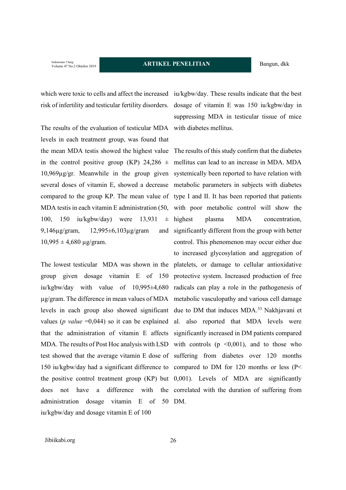Indonesian J Surg:<br>Volume 47 No.2 Oktober 2019

risk of infertility and testicular fertility disorders. dosage of vitamin E was 150 iu/kgbw/day in

The results of the evaluation of testicular MDA with diabetes mellitus. levels in each treatment group, was found that the mean MDA testis showed the highest value The results of this study confirm that the diabetes 100, 150 iu/kgbw/day) were 13,931  $\pm$  highest 9,146 $\mu$ g/gram, 12,995 $\pm$ 6,103 $\mu$ g/gram  $10,995 \pm 4,680 \text{ µg/gram}.$ 

does not have a difference with administration dosage vitamin E of 50 DM. iu/kgbw/day and dosage vitamin E of 100

which were toxic to cells and affect the increased iu/kgbw/day. These results indicate that the best suppressing MDA in testicular tissue of mice

in the control positive group (KP)  $24,286 \pm$  mellitus can lead to an increase in MDA. MDA 10,969µg/gr. Meanwhile in the group given systemically been reported to have relation with several doses of vitamin E, showed a decrease metabolic parameters in subjects with diabetes compared to the group KP. The mean value of type I and II. It has been reported that patients MDA testis in each vitamin E administration (50, with poor metabolic control will show the The lowest testicular MDA was shown in the platelets, or damage to cellular antioxidative group given dosage vitamin E of 150 protective system. Increased production of free iu/kgbw/day with value of 10,995±4,680 radicals can play a role in the pathogenesis of µg/gram. The difference in mean values of MDA metabolic vasculopathy and various cell damage levels in each group also showed significant due to DM that induces MDA.<sup>33</sup> Nakhjavani et values ( $p$  value  $= 0.044$ ) so it can be explained al. also reported that MDA levels were that the administration of vitamin E affects significantly increased in DM patients compared MDA. The results of Post Hoc analysis with LSD with controls  $(p \le 0.001)$ , and to those who test showed that the average vitamin E dose of suffering from diabetes over 120 months 150 iu/kgbw/day had a significant difference to compared to DM for 120 months or less (P< the positive control treatment group (KP) but 0,001). Levels of MDA are significantly plasma MDA concentration, and significantly different from the group with better control. This phenomenon may occur either due to increased glycosylation and aggregation of correlated with the duration of suffering from

Jibiikabi.org 26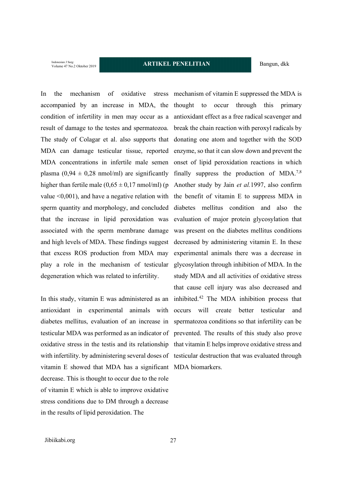Indonesian J Surg:<br>Volume 47 No.2 Oktober 2019

sperm quantity and morphology, and concluded that the increase in lipid peroxidation was that excess ROS production from MDA may play a role in the mechanism of testicular degeneration which was related to infertility.

In this study, vitamin E was administered as an antioxidant in experimental animals with diabetes mellitus, evaluation of an increase in spermatozoa conditions so that infertility can be testicular MDA was performed as an indicator of prevented. The results of this study also prove oxidative stress in the testis and its relationship that vitamin E helps improve oxidative stress and with infertility. by administering several doses of testicular destruction that was evaluated through vitamin E showed that MDA has a significant MDA biomarkers.decrease. This is thought to occur due to the role of vitamin E which is able to improve oxidative stress conditions due to DM through a decrease in the results of lipid peroxidation. The

In the mechanism of oxidative stress mechanism of vitamin E suppressed the MDA is accompanied by an increase in MDA, the thought to occur through this primary condition of infertility in men may occur as a antioxidant effect as a free radical scavenger and result of damage to the testes and spermatozoa. break the chain reaction with peroxyl radicals by The study of Colagar et al. also supports that donating one atom and together with the SOD MDA can damage testicular tissue, reported enzyme, so that it can slow down and prevent the MDA concentrations in infertile male semen onset of lipid peroxidation reactions in which plasma  $(0.94 \pm 0.28 \text{ nmol/ml})$  are significantly finally suppress the production of MDA.<sup>7,8</sup> higher than fertile male (0,65  $\pm$  0,17 nmol/ml) (p Another study by Jain *et al.* 1997, also confirm value  $\leq 0.001$ ), and have a negative relation with the benefit of vitamin E to suppress MDA in associated with the sperm membrane damage was present on the diabetes mellitus conditions and high levels of MDA. These findings suggest decreased by administering vitamin E. In these diabetes mellitus condition and also the evaluation of major protein glycosylation that experimental animals there was a decrease in glycosylation through inhibition of MDA. In the study MDA and all activities of oxidative stress that cause cell injury was also decreased and inhibited.42 The MDA inhibition process that occurs will create better testicular and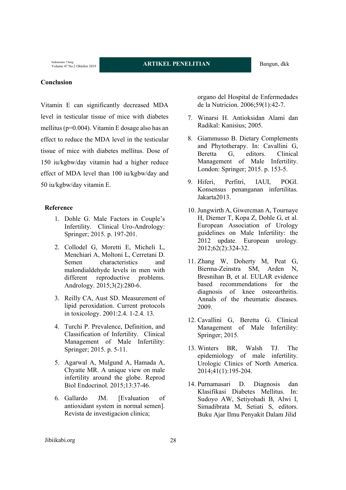#### **Conclusion**

Vitamin E can significantly decreased MDA level in testicular tissue of mice with diabetes mellitus (p=0.004). Vitamin E dosage also has an effect to reduce the MDA level in the testicular tissue of mice with diabetes mellitus. Dose of 150 iu/kgbw/day vitamin had a higher reduce effect of MDA level than 100 iu/kgbw/day and 50 iu/kgbw/day vitamin E.

## **Reference**

- 1. Dohle G. Male Factors in Couple's Infertility. Clinical Uro-Andrology: Springer; 2015. p. 197-201.
- 2. Collodel G, Moretti E, Micheli L, Menchiari A, Moltoni L, Cerretani D. Semen characteristics and malondialdehyde levels in men with different reproductive problems. Andrology. 2015;3(2):280-6.
- 3. Reilly CA, Aust SD. Measurement of lipid peroxidation. Current protocols in toxicology. 2001:2.4. 1-2.4. 13.
- 4. Turchi P. Prevalence, Definition, and Classification of Infertility. Clinical Management of Male Infertility: Springer; 2015. p. 5-11.
- 5. Agarwal A, Mulgund A, Hamada A, Chyatte MR. A unique view on male infertility around the globe. Reprod Biol Endocrinol. 2015;13:37-46.
- 6. Gallardo JM. [Evaluation of antioxidant system in normal semen]. Revista de investigacion clinica;

organo del Hospital de Enfermedades de la Nutricion. 2006;59(1):42-7.

- 7. Winarsi H. Antioksidan Alami dan Radikal: Kanisius; 2005.
- 8. Giammusso B. Dietary Complements and Phytotherapy. In: Cavallini G, Beretta G, editors. Clinical Management of Male Infertility. London: Springer; 2015. p. 153-5.
- 9. Hiferi, Perfitri, IAUI, POGI. Konsensus penanganan infertilitas. Jakarta2013.
- 10. Jungwirth A, Giwercman A, Tournaye H, Diemer T, Kopa Z, Dohle G, et al. European Association of Urology guidelines on Male Infertility: the 2012 update. European urology. 2012;62(2):324-32.
- 11. Zhang W, Doherty M, Peat G, Bierma-Zeinstra SM, Arden N, Bresnihan B, et al. EULAR evidence based recommendations for the diagnosis of knee osteoarthritis. Annals of the rheumatic diseases. 2009.
- 12. Cavallini G, Beretta G. Clinical Management of Male Infertility: Springer; 2015.
- 13. Winters BR, Walsh TJ. The epidemiology of male infertility. Urologic Clinics of North America. 2014;41(1):195-204.
- 14. Purnamasari D. Diagnosis dan Klasifikasi Diabetes Mellitus. In: Sudoyo AW, Setiyohadi B, Alwi I, Simadibrata M, Setiati S, editors. Buku Ajar Ilmu Penyakit Dalam Jilid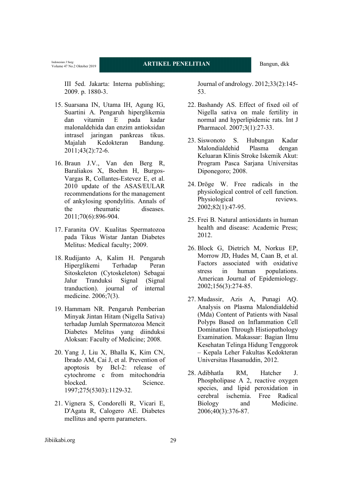Indonesian J Surg:<br>Volume 47 No.2 Oktober 2019

III 5ed. Jakarta: Interna publishing; 2009. p. 1880-3.

- 15. Suarsana IN, Utama IH, Agung IG, Suartini A. Pengaruh hiperglikemia dan vitamin E pada kadar malonaldehida dan enzim antioksidan intrasel jaringan pankreas tikus. Majalah Kedokteran Bandung. 2011;43(2):72-6.
- 16. Braun J.V., Van den Berg R, Baraliakos X, Boehm H, Burgos-Vargas R, Collantes-Estevez E, et al. 2010 update of the ASAS/EULAR recommendations for the management of ankylosing spondylitis. Annals of the rheumatic diseases. 2011;70(6):896-904.
- 17. Faranita OV. Kualitas Spermatozoa pada Tikus Wistar Jantan Diabetes Melitus: Medical faculty; 2009.
- 18. Rudijanto A, Kalim H. Pengaruh Hiperglikemi Terhadap Peran Sitoskeleton (Cytoskeleton) Sebagai Jalur Tranduksi Signal (Signal tranduction). journal of internal medicine. 2006;7(3).
- 19. Hammam NR. Pengaruh Pemberian Minyak Jintan Hitam (Nigella Sativa) terhadap Jumlah Spermatozoa Mencit Diabetes Melitus yang diinduksi Aloksan: Faculty of Medicine; 2008.
- 20. Yang J, Liu X, Bhalla K, Kim CN, Ibrado AM, Cai J, et al. Prevention of apoptosis by Bcl-2: release of cytochrome c from mitochondria blocked. Science. 1997;275(5303):1129-32.
- 21. Vignera S, Condorelli R, Vicari E, D'Agata R, Calogero AE. Diabetes mellitus and sperm parameters.

Journal of andrology. 2012;33(2):145- 53.

- 22. Bashandy AS. Effect of fixed oil of Nigella sativa on male fertility in normal and hyperlipidemic rats. Int J Pharmacol. 2007;3(1):27-33.
- 23. Siswonoto S. Hubungan Kadar Malondialdehid Plasma dengan Keluaran Klinis Stroke Iskemik Akut: Program Pasca Sarjana Universitas Diponegoro; 2008.
- 24. Dröge W. Free radicals in the physiological control of cell function. Physiological reviews. 2002;82(1):47-95.
- 25. Frei B. Natural antioxidants in human health and disease: Academic Press; 2012.
- 26. Block G, Dietrich M, Norkus EP, Morrow JD, Hudes M, Caan B, et al. Factors associated with oxidative stress in human populations. American Journal of Epidemiology. 2002;156(3):274-85.
- 27. Mudassir, Azis A, Punagi AQ. Analysis on Plasma Malondialdehid (Mda) Content of Patients with Nasal Polyps Based on Inflammation Cell Domination Through Histiopathology Examination. Makassar: Bagian Ilmu Kesehatan Telinga Hidung Tenggorok – Kepala Leher Fakultas Kedokteran Universitas Hasanuddin, 2012.
- 28. Adibhatla RM, Hatcher J. Phospholipase A 2, reactive oxygen species, and lipid peroxidation in cerebral ischemia. Free Radical Biology and Medicine. 2006;40(3):376-87.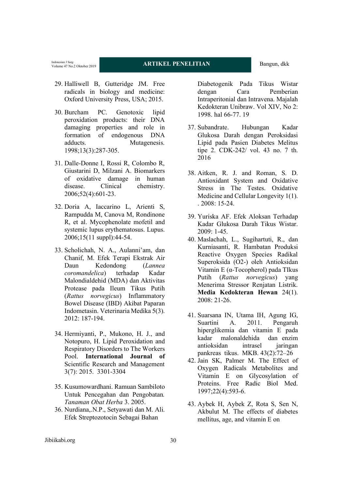Indonesian J Surg:<br>Volume 47 No.2 Oktober 2019

- 29. Halliwell B, Gutteridge JM. Free radicals in biology and medicine: Oxford University Press, USA; 2015.
- 30. Burcham PC. Genotoxic lipid peroxidation products: their DNA damaging properties and role in formation of endogenous DNA adducts. Mutagenesis. 1998;13(3):287-305.
- 31. Dalle-Donne I, Rossi R, Colombo R, Giustarini D, Milzani A. Biomarkers of oxidative damage in human disease. Clinical chemistry. 2006;52(4):601-23.
- 32. Doria A, Iaccarino L, Arienti S, Rampudda M, Canova M, Rondinone R, et al. Mycophenolate mofetil and systemic lupus erythematosus. Lupus. 2006;15(11 suppl):44-54.
- 33. Scholichah, N. A., Aulanni'am, dan Chanif, M. Efek Terapi Ekstrak Air Daun Kedondong (*Lannea coromandelica*) terhadap Kadar Malondialdehid (MDA) dan Aktivitas Protease pada Ileum Tikus Putih (*Rattus norvegicus*) Inflammatory Bowel Disease (IBD) Akibat Paparan Indometasin. Veterinaria Medika 5(3). 2012: 187-194.
- 34. Hermiyanti, P., Mukono, H. J., and Notopuro, H. Lipid Peroxidation and Respiratory Disorders to The Workers Pool. **International Journal of**  Scientific Research and Management 3(7): 2015. 3301-3304
- 35. Kusumowardhani. Ramuan Sambiloto Untuk Pencegahan dan Pengobatan*. Tanaman Obat Herba* 3. 2005.
- 36. Nurdiana,.N.P., Setyawati dan M. Ali. Efek Streptozotocin Sebagai Bahan

Diabetogenik Pada Tikus Wistar dengan Cara Pemberian Intraperitonial dan Intravena. Majalah Kedokteran Unibraw. Vol XIV, No 2: 1998. hal 66-77. 19

- 37. Subandrate. Hubungan Kadar Glukosa Darah dengan Peroksidasi Lipid pada Pasien Diabetes Melitus tipe 2. CDK-242/ vol. 43 no. 7 th. 2016
- 38. Aitken, R. J. and Roman, S. D. Antioxidant System and Oxidative Stress in The Testes. Oxidative Medicine and Cellular Longevity 1(1). . 2008: 15-24.
- 39. Yuriska AF. Efek Aloksan Terhadap Kadar Glukosa Darah Tikus Wistar. 2009: 1-45.
- 40. Maslachah, L., Sugihartuti, R., dan Kurniasanti, R. Hambatan Produksi Reactive Oxygen Species Radikal Superoksida (O2-) oleh Antioksidan Vitamin E (α-Tocopherol) pada TIkus Putih (*Rattus norvegicus*) yang Menerima Stressor Renjatan Listrik. **Media Kedokteran Hewan** 24(1). 2008: 21-26.
- 41. Suarsana IN, Utama IH, Agung IG, Suartini A. 2011. Pengaruh hiperglikemia dan vitamin E pada kadar malonaldehida dan enzim antioksidan intrasel jaringan pankreas tikus. MKB. 43(2):72–26
- 42. Jain SK, Palmer M. The Effect of Oxygen Radicals Metabolites and Vitamin E on Glycosylation of Proteins. Free Radic Biol Med. 1997;22(4):593-6.
- 43. Aybek H, Aybek Z, Rota S, Sen N, Akbulut M. The effects of diabetes mellitus, age, and vitamin E on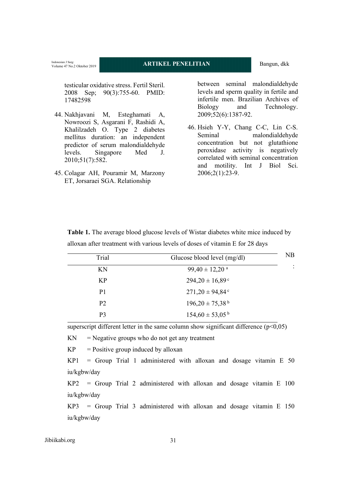Indonesian J Surg:<br>Volume 47 No.2 Oktober 2019

testicular oxidative stress. Fertil Steril. 2008 Sep; 90(3):755-60. PMID: 17482598

- 44. Nakhjavani M, Esteghamati A, Nowroozi S, Asgarani F, Rashidi A, Khalilzadeh O. Type 2 diabetes mellitus duration: an independent predictor of serum malondialdehyde levels. Singapore Med J. 2010;51(7):582.
- 45. Colagar AH, Pouramir M, Marzony ET, Jorsaraei SGA. Relationship

between seminal malondialdehyde levels and sperm quality in fertile and infertile men. Brazilian Archives of Biology and Technology. 2009;52(6):1387-92.

46. Hsieh Y-Y, Chang C-C, Lin C-S. Seminal malondialdehyde concentration but not glutathione peroxidase activity is negatively correlated with seminal concentration and motility. Int J Biol Sci. 2006;2(1):23-9.

| NB.       | Glucose blood level (mg/dl)     | Trial          |
|-----------|---------------------------------|----------------|
| $\bullet$ | $99,40 \pm 12,20$ <sup>a</sup>  | ΚN             |
|           | $294.20 \pm 16.89$ <sup>c</sup> | KP             |
|           | $271,20 \pm 94,84$ <sup>c</sup> | P1             |
|           | $196,20 \pm 75,38^{\mathrm{b}}$ | P <sub>2</sub> |

Table 1. The average blood glucose levels of Wistar diabetes white mice induced by alloxan after treatment with various levels of doses of vitamin E for 28 days

superscript different letter in the same column show significant difference  $(p<0.05)$ 

P3  $154,60 \pm 53,05^{\circ}$ 

 $KN = Negative groups who do not get any treatment$ 

 $KP = Positive$  group induced by alloxan

KP1 = Group Trial 1 administered with alloxan and dosage vitamin E 50 iu/kgbw/day

KP2 = Group Trial 2 administered with alloxan and dosage vitamin E 100 iu/kgbw/day

KP3 = Group Trial 3 administered with alloxan and dosage vitamin E 150 iu/kgbw/day